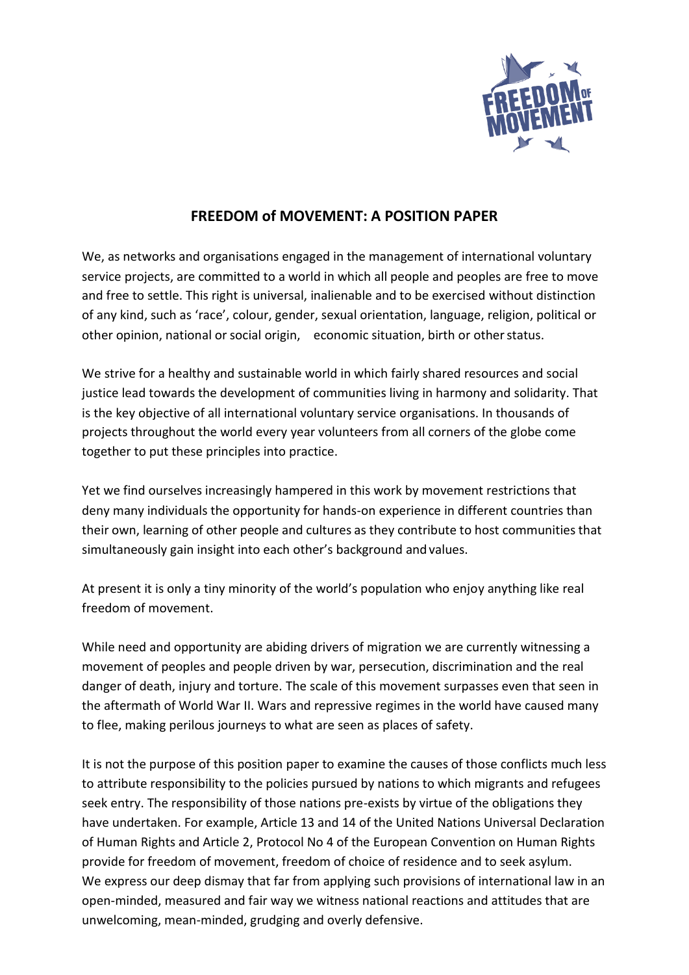

## **FREEDOM of MOVEMENT: A POSITION PAPER**

We, as networks and organisations engaged in the management of international voluntary service projects, are committed to a world in which all people and peoples are free to move and free to settle. This right is universal, inalienable and to be exercised without distinction of any kind, such as 'race', colour, gender, sexual orientation, language, religion, political or other opinion, national or social origin, economic situation, birth or other status.

We strive for a healthy and sustainable world in which fairly shared resources and social justice lead towards the development of communities living in harmony and solidarity. That is the key objective of all international voluntary service organisations. In thousands of projects throughout the world every year volunteers from all corners of the globe come together to put these principles into practice.

Yet we find ourselves increasingly hampered in this work by movement restrictions that deny many individuals the opportunity for hands-on experience in different countries than their own, learning of other people and cultures as they contribute to host communities that simultaneously gain insight into each other's background and values.

At present it is only a tiny minority of the world's population who enjoy anything like real freedom of movement.

While need and opportunity are abiding drivers of migration we are currently witnessing a movement of peoples and people driven by war, persecution, discrimination and the real danger of death, injury and torture. The scale of this movement surpasses even that seen in the aftermath of World War II. Wars and repressive regimes in the world have caused many to flee, making perilous journeys to what are seen as places of safety.

It is not the purpose of this position paper to examine the causes of those conflicts much less to attribute responsibility to the policies pursued by nations to which migrants and refugees seek entry. The responsibility of those nations pre-exists by virtue of the obligations they have undertaken. For example, Article 13 and 14 of the United Nations Universal Declaration of Human Rights and Article 2, Protocol No 4 of the European Convention on Human Rights provide for freedom of movement, freedom of choice of residence and to seek asylum. We express our deep dismay that far from applying such provisions of international law in an open-minded, measured and fair way we witness national reactions and attitudes that are unwelcoming, mean-minded, grudging and overly defensive.